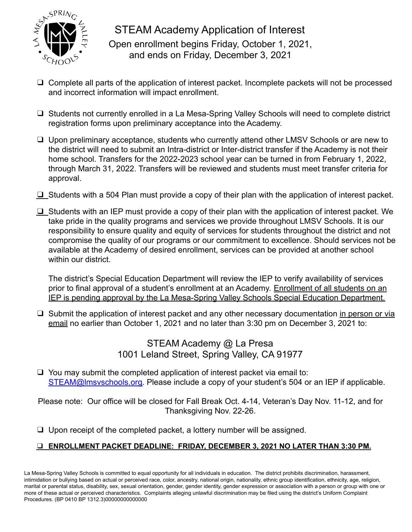

STEAM Academy Application of Interest Open enrollment begins Friday, October 1, 2021, and ends on Friday, December 3, 2021

- ❑ Complete all parts of the application of interest packet. Incomplete packets will not be processed and incorrect information will impact enrollment.
- ❑ Students not currently enrolled in a La Mesa-Spring Valley Schools will need to complete district registration forms upon preliminary acceptance into the Academy.
- ❑ Upon preliminary acceptance, students who currently attend other LMSV Schools or are new to the district will need to submit an Intra-district or Inter-district transfer if the Academy is not their home school. Transfers for the 2022-2023 school year can be turned in from February 1, 2022, through March 31, 2022. Transfers will be reviewed and students must meet transfer criteria for approval.
- $\Box$  Students with a 504 Plan must provide a copy of their plan with the application of interest packet.
- ❑ Students with an IEP must provide a copy of their plan with the application of interest packet. We take pride in the quality programs and services we provide throughout LMSV Schools. It is our responsibility to ensure quality and equity of services for students throughout the district and not compromise the quality of our programs or our commitment to excellence. Should services not be available at the Academy of desired enrollment, services can be provided at another school within our district.

The district's Special Education Department will review the IEP to verify availability of services prior to final approval of a student's enrollment at an Academy. Enrollment of all students on an IEP is pending approval by the La Mesa-Spring Valley Schools Special Education Department.

❑ Submit the application of interest packet and any other necessary documentation in person or via email no earlier than October 1, 2021 and no later than 3:30 pm on December 3, 2021 to:

### STEAM Academy @ La Presa 1001 Leland Street, Spring Valley, CA 91977

❑ You may submit the completed application of interest packet via email to: STEAM@Imsyschools.org. Please include a copy of your student's 504 or an IEP if applicable.

Please note: Our office will be closed for Fall Break Oct. 4-14, Veteran's Day Nov. 11-12, and for Thanksgiving Nov. 22-26.

❑ Upon receipt of the completed packet, a lottery number will be assigned.

### ❑ **ENROLLMENT PACKET DEADLINE: FRIDAY, DECEMBER 3, 2021 NO LATER THAN 3:30 PM.**

La Mesa-Spring Valley Schools is committed to equal opportunity for all individuals in education. The district prohibits discrimination, harassment, intimidation or bullying based on actual or perceived race, color, ancestry, national origin, nationality, ethnic group identification, ethnicity, age, religion, marital or parental status, disability, sex, sexual orientation, gender, gender identity, gender expression or association with a person or group with one or more of these actual or perceived characteristics. Complaints alleging unlawful discrimination may be filed using the district's Uniform Complaint Procedures. (BP 0410 BP 1312.3)00000000000000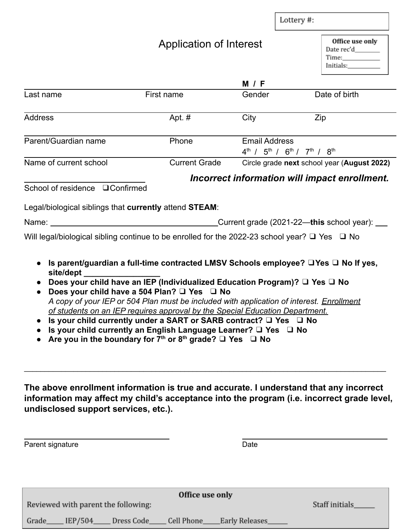|                                                                                                                                                                                                                                                                                                |                                                                                                         |                                                                              | Lottery #:                                                                                                                                                                                                                                                             |  |
|------------------------------------------------------------------------------------------------------------------------------------------------------------------------------------------------------------------------------------------------------------------------------------------------|---------------------------------------------------------------------------------------------------------|------------------------------------------------------------------------------|------------------------------------------------------------------------------------------------------------------------------------------------------------------------------------------------------------------------------------------------------------------------|--|
|                                                                                                                                                                                                                                                                                                | Application of Interest                                                                                 |                                                                              | Office use only<br>Date rec'd________<br>Initials: The Contract of the Contract of the Contract of the Contract of the Contract of the Contract of the Contract of the Contract of the Contract of the Contract of the Contract of the Contract of the Contract of the |  |
|                                                                                                                                                                                                                                                                                                |                                                                                                         | <b>M</b> / F                                                                 |                                                                                                                                                                                                                                                                        |  |
| Last name                                                                                                                                                                                                                                                                                      | First name                                                                                              | Gender                                                                       | Date of birth                                                                                                                                                                                                                                                          |  |
| <b>Address</b>                                                                                                                                                                                                                                                                                 | Apt. #                                                                                                  | City                                                                         | Zip                                                                                                                                                                                                                                                                    |  |
| Parent/Guardian name                                                                                                                                                                                                                                                                           | Phone                                                                                                   | <b>Email Address</b><br>$4^{th}$ / $5^{th}$ / $6^{th}$ / $7^{th}$ / $8^{th}$ |                                                                                                                                                                                                                                                                        |  |
| Name of current school                                                                                                                                                                                                                                                                         | <b>Current Grade</b>                                                                                    |                                                                              | Circle grade next school year (August 2022)                                                                                                                                                                                                                            |  |
|                                                                                                                                                                                                                                                                                                |                                                                                                         |                                                                              |                                                                                                                                                                                                                                                                        |  |
| School of residence <b>QConfirmed</b>                                                                                                                                                                                                                                                          |                                                                                                         |                                                                              | Incorrect information will impact enrollment.                                                                                                                                                                                                                          |  |
|                                                                                                                                                                                                                                                                                                |                                                                                                         |                                                                              |                                                                                                                                                                                                                                                                        |  |
| Legal/biological siblings that currently attend STEAM:<br>Name: <u>University of the set of the set of the set of the set of the set of the set of the set of the set of the set of the set of the set of the set of the set of the set of the set of the set of the set of the set of the</u> | Will legal/biological sibling continue to be enrolled for the 2022-23 school year? $\Box$ Yes $\Box$ No |                                                                              | Current grade (2021-22—this school year): ____                                                                                                                                                                                                                         |  |

**The above enrollment information is true and accurate. I understand that any incorrect information may affect my child's acceptance into the program (i.e. incorrect grade level, undisclosed support services, etc.).**

| Parent signature                    |         |            |            | Date                  |                |  |  |  |
|-------------------------------------|---------|------------|------------|-----------------------|----------------|--|--|--|
|                                     |         |            |            |                       |                |  |  |  |
|                                     |         |            |            |                       |                |  |  |  |
| Office use only                     |         |            |            |                       |                |  |  |  |
| Reviewed with parent the following: |         |            |            |                       | Staff initials |  |  |  |
| Grade                               | IEP/504 | Dress Code | Cell Phone | <b>Early Releases</b> |                |  |  |  |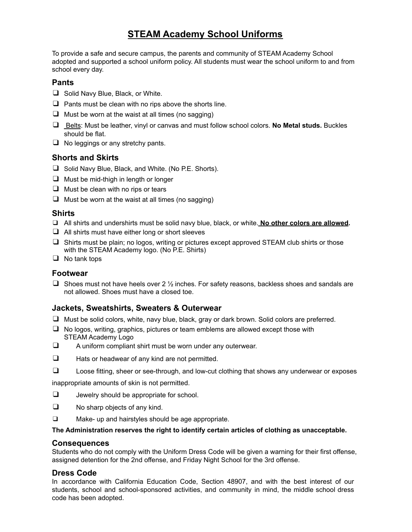## **STEAM Academy School Uniforms**

To provide a safe and secure campus, the parents and community of STEAM Academy School adopted and supported a school uniform policy. All students must wear the school uniform to and from school every day.

#### **Pants**

- ❑ Solid Navy Blue, Black, or White.
- $\Box$  Pants must be clean with no rips above the shorts line.
- $\Box$  Must be worn at the waist at all times (no sagging)
- ❑ Belts: Must be leather, vinyl or canvas and must follow school colors. **No Metal studs.** Buckles should be flat.
- $\Box$  No leggings or any stretchy pants.

#### **Shorts and Skirts**

- ❑ Solid Navy Blue, Black, and White. (No P.E. Shorts).
- ❑ Must be mid-thigh in length or longer
- $\Box$  Must be clean with no rips or tears
- $\Box$  Must be worn at the waist at all times (no sagging)

#### **Shirts**

- ❑ All shirts and undershirts must be solid navy blue, black, or white. **No other colors are allowed.**
- $\Box$  All shirts must have either long or short sleeves
- ❑ Shirts must be plain; no logos, writing or pictures except approved STEAM club shirts or those with the STEAM Academy logo. (No P.E. Shirts)
- ❑ No tank tops

#### **Footwear**

□ Shoes must not have heels over  $2 \frac{1}{2}$  inches. For safety reasons, backless shoes and sandals are not allowed. Shoes must have a closed toe.

#### **Jackets, Sweatshirts, Sweaters & Outerwear**

- ❑ Must be solid colors, white, navy blue, black, gray or dark brown. Solid colors are preferred.
- ❑ No logos, writing, graphics, pictures or team emblems are allowed except those with STEAM Academy Logo
- ❑ A uniform compliant shirt must be worn under any outerwear.
- ❑ Hats or headwear of any kind are not permitted.
- ❑ Loose fitting, sheer or see-through, and low-cut clothing that shows any underwear or exposes

inappropriate amounts of skin is not permitted.

- ❑ Jewelry should be appropriate for school.
- ❑ No sharp objects of any kind.
- ❑ Make- up and hairstyles should be age appropriate.

#### **The Administration reserves the right to identify certain articles of clothing as unacceptable.**

#### **Consequences**

Students who do not comply with the Uniform Dress Code will be given a warning for their first offense, assigned detention for the 2nd offense, and Friday Night School for the 3rd offense.

#### **Dress Code**

In accordance with California Education Code, Section 48907, and with the best interest of our students, school and school-sponsored activities, and community in mind, the middle school dress code has been adopted.